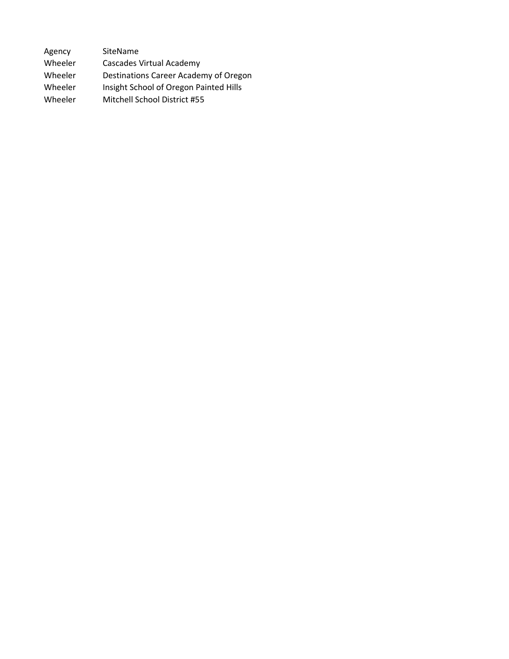| Agency  | SiteName                               |
|---------|----------------------------------------|
| Wheeler | <b>Cascades Virtual Academy</b>        |
| Wheeler | Destinations Career Academy of Oregon  |
| Wheeler | Insight School of Oregon Painted Hills |
| Wheeler | Mitchell School District #55           |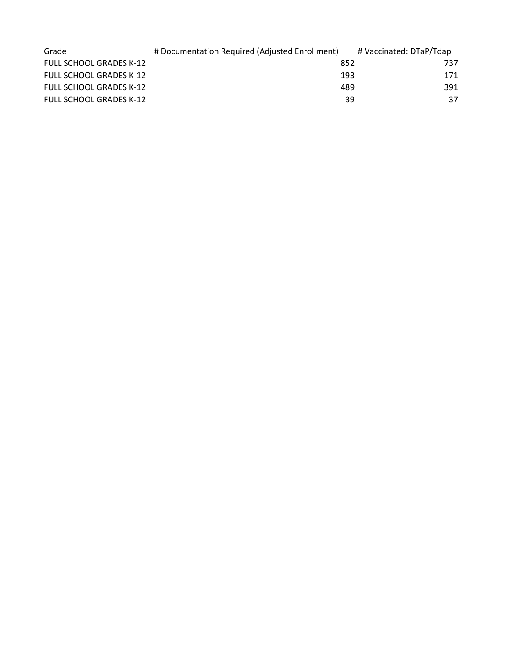| Grade                          | # Documentation Required (Adjusted Enrollment) | # Vaccinated: DTaP/Tdap |
|--------------------------------|------------------------------------------------|-------------------------|
| <b>FULL SCHOOL GRADES K-12</b> | 852                                            | 737                     |
| <b>FULL SCHOOL GRADES K-12</b> | 193                                            | 171                     |
| <b>FULL SCHOOL GRADES K-12</b> | 489                                            | 391                     |
| <b>FULL SCHOOL GRADES K-12</b> |                                                | 37<br>39                |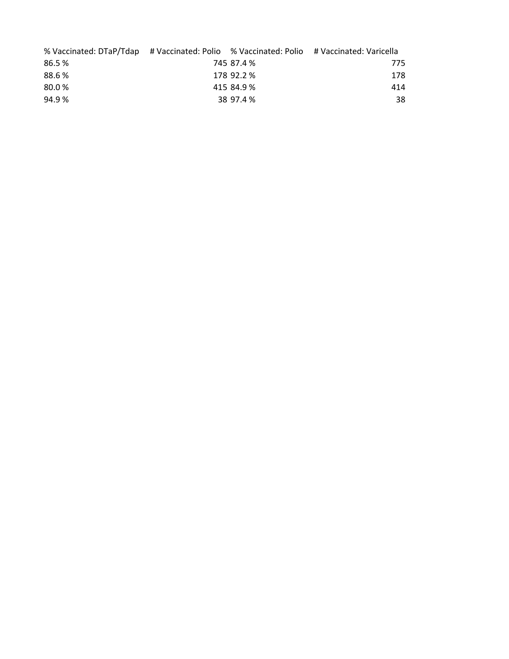| % Vaccinated: DTaP/Tdap # Vaccinated: Polio % Vaccinated: Polio # Vaccinated: Varicella |            |     |
|-----------------------------------------------------------------------------------------|------------|-----|
| 86.5%                                                                                   | 745 87.4 % | 775 |
| 88.6%                                                                                   | 178 92.2 % | 178 |
| 80.0%                                                                                   | 415 84.9 % | 414 |
| 94.9%                                                                                   | 38 97.4 %  | 38  |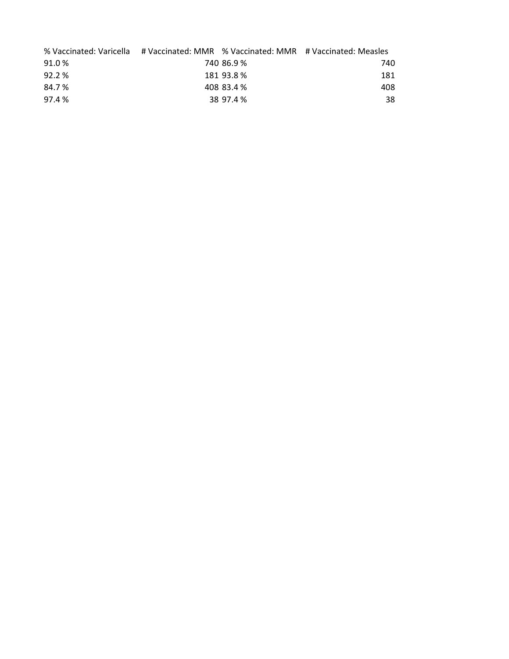| % Vaccinated: Varicella # Vaccinated: MMR % Vaccinated: MMR # Vaccinated: Measles |            |     |
|-----------------------------------------------------------------------------------|------------|-----|
| 91.0%                                                                             | 740 86.9 % | 740 |
| 92.2%                                                                             | 181 93.8 % | 181 |
| 84.7%                                                                             | 408 83.4 % | 408 |
| 97.4 %                                                                            | 38 97.4 %  | 38  |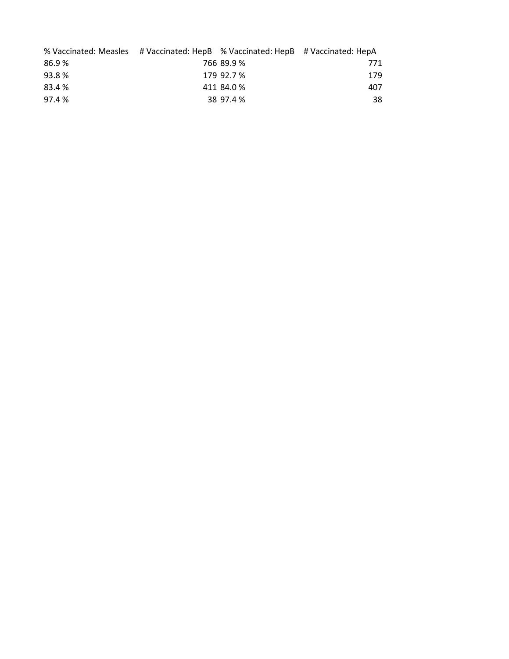| % Vaccinated: Measles # Vaccinated: HepB % Vaccinated: HepB # Vaccinated: HepA |            |     |
|--------------------------------------------------------------------------------|------------|-----|
| 86.9%                                                                          | 766 89.9 % | 771 |
| 93.8%                                                                          | 179 92.7 % | 179 |
| 83.4 %                                                                         | 411 84.0 % | 407 |
| 97.4%                                                                          | 38 97.4 %  | 38  |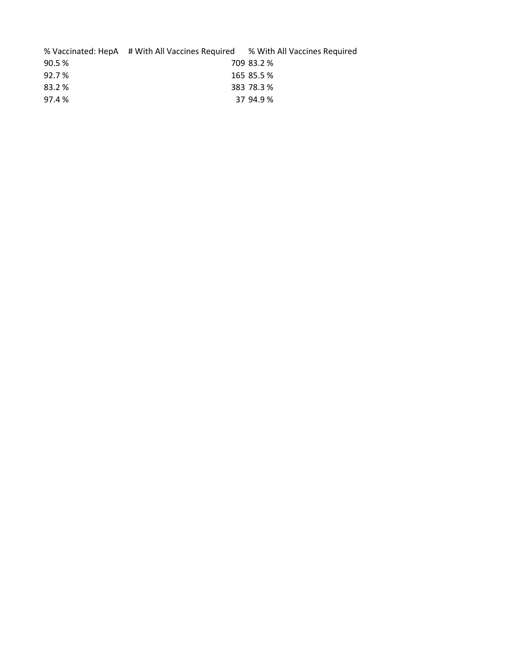|        | % Vaccinated: HepA # With All Vaccines Required % With All Vaccines Required |            |
|--------|------------------------------------------------------------------------------|------------|
| 90.5 % |                                                                              | 709 83.2 % |
| 92.7 % |                                                                              | 165 85.5 % |
| 83.2 % |                                                                              | 383 78.3 % |
| 97.4 % |                                                                              | 37 94.9 %  |
|        |                                                                              |            |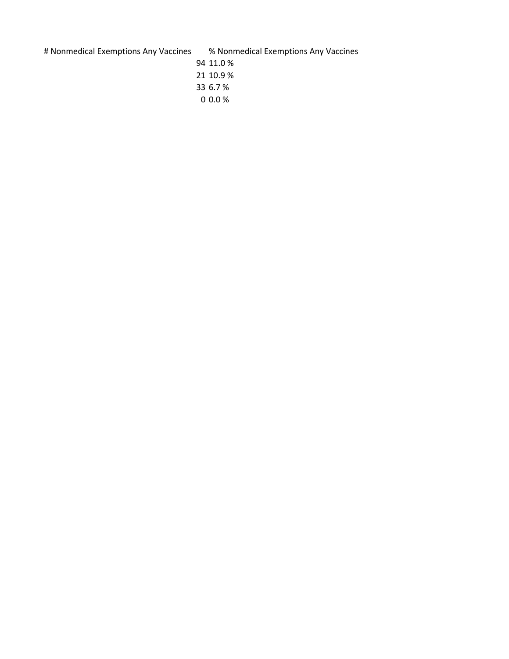# Nonmedical Exemptions Any Vaccines % Nonmedical Exemptions Any Vaccines

 11.0 % 10.9 % 6.7 %

0.0 %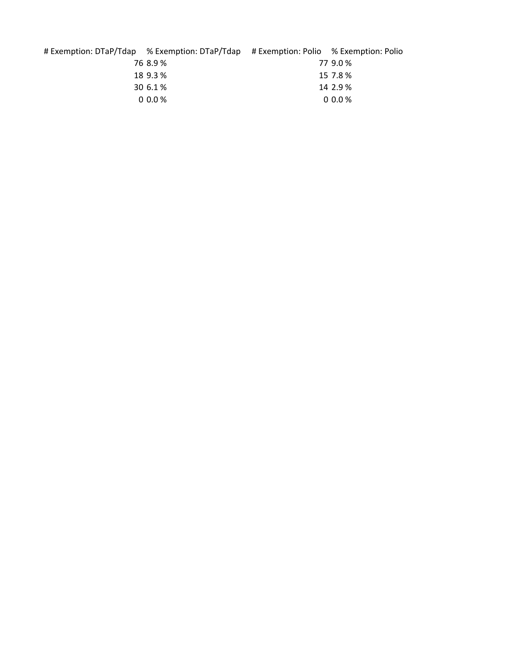| # Exemption: DTaP/Tdap % Exemption: DTaP/Tdap # Exemption: Polio % Exemption: Polio |          |
|-------------------------------------------------------------------------------------|----------|
| 76 8.9 %                                                                            | 77 9.0 % |
| 18 9.3 %                                                                            | 15 7.8 % |
| 30 6.1 %                                                                            | 14 2.9 % |
| $0.0\%$                                                                             | $0.0\%$  |
|                                                                                     |          |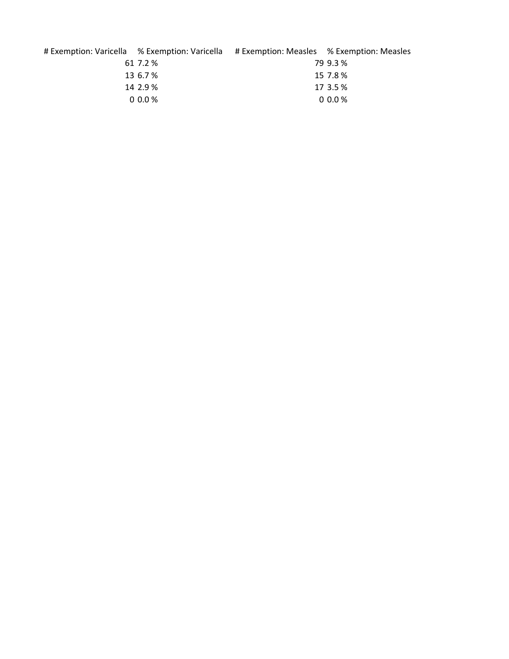| # Exemption: Varicella % Exemption: Varicella |          | # Exemption: Measles % Exemption: Measles |          |
|-----------------------------------------------|----------|-------------------------------------------|----------|
|                                               | 61 7.2 % |                                           | 79 9.3 % |
|                                               | 13 6.7 % |                                           | 15 7.8 % |
|                                               | 14 2.9 % |                                           | 17 3.5 % |
|                                               | $0.0\%$  |                                           | $0.0\%$  |
|                                               |          |                                           |          |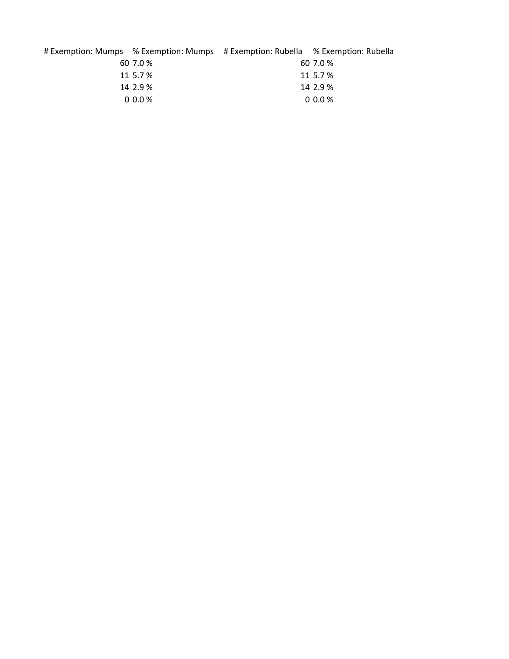|          | # Exemption: Mumps % Exemption: Mumps # Exemption: Rubella % Exemption: Rubella |          |
|----------|---------------------------------------------------------------------------------|----------|
| 60 7.0 % |                                                                                 | 60 7.0 % |
| 11 5.7 % |                                                                                 | 11 5.7 % |
| 14 2.9 % |                                                                                 | 14 2.9 % |
| $0.00\%$ |                                                                                 | $0.0\%$  |
|          |                                                                                 |          |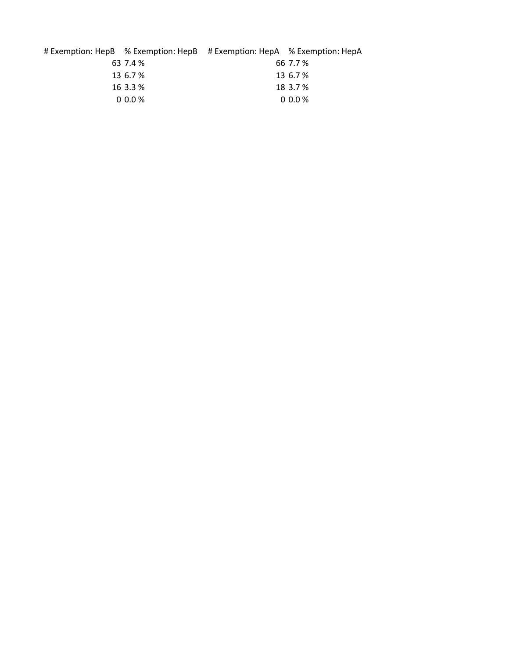|          | # Exemption: HepB % Exemption: HepB # Exemption: HepA % Exemption: HepA |          |
|----------|-------------------------------------------------------------------------|----------|
| 63 7.4 % |                                                                         | 66 7.7 % |
| 13 6.7 % |                                                                         | 13 6.7 % |
| 16 3.3 % |                                                                         | 18 3.7 % |
| $0.0\%$  |                                                                         | $0.0\%$  |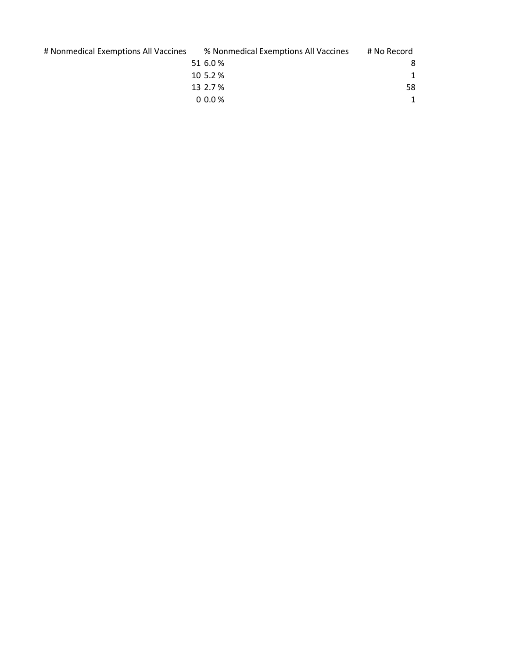# Nonmedical Exemptions All Vaccines

| % Nonmedical Exemptions All Vaccines | # No Record |
|--------------------------------------|-------------|
| 51 6.0 %                             |             |
| 10 5.2 %                             |             |
| 13 2.7 %                             | 58          |
| $0.00\%$                             |             |